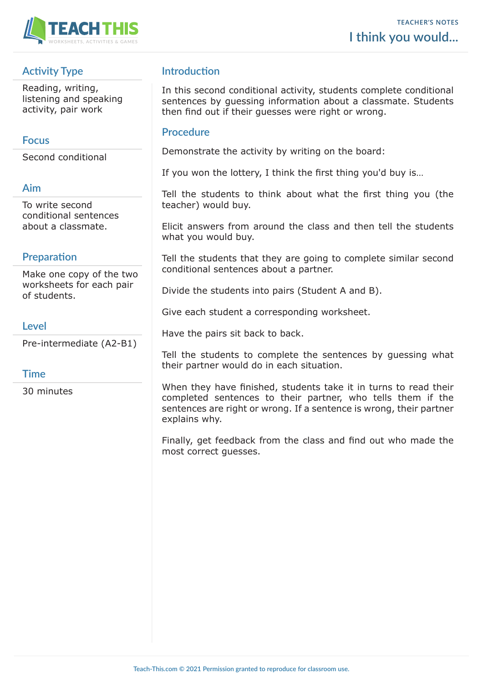

# **Activity Type**

Reading, writing, listening and speaking activity, pair work

## **Focus**

Second conditional

## **Aim**

To write second conditional sentences about a classmate.

# **Preparation**

Make one copy of the two worksheets for each pair of students.

## **Level**

Pre-intermediate (A2-B1)

## **Time**

30 minutes

## **Introduction**

In this second conditional activity, students complete conditional sentences by guessing information about a classmate. Students then find out if their guesses were right or wrong.

### **Procedure**

Demonstrate the activity by writing on the board:

If you won the lottery, I think the first thing you'd buy is…

Tell the students to think about what the first thing you (the teacher) would buy.

Elicit answers from around the class and then tell the students what you would buy.

Tell the students that they are going to complete similar second conditional sentences about a partner.

Divide the students into pairs (Student A and B).

Give each student a corresponding worksheet.

Have the pairs sit back to back.

Tell the students to complete the sentences by guessing what their partner would do in each situation.

When they have finished, students take it in turns to read their completed sentences to their partner, who tells them if the sentences are right or wrong. If a sentence is wrong, their partner explains why.

Finally, get feedback from the class and find out who made the most correct guesses.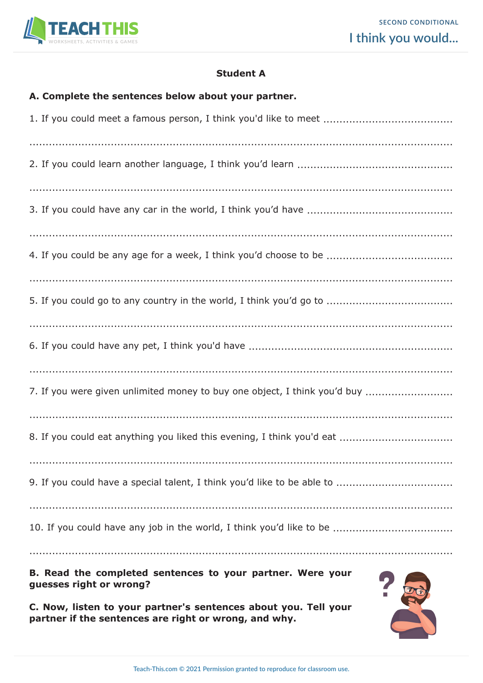

### **Student A**

#### **A. Complete the sentences below about your partner.**

| 7. If you were given unlimited money to buy one object, I think you'd buy |
|---------------------------------------------------------------------------|
|                                                                           |
|                                                                           |
|                                                                           |
|                                                                           |

**B. Read the completed sentences to your partner. Were your guesses right or wrong?**

**C. Now, listen to your partner's sentences about you. Tell your partner if the sentences are right or wrong, and why.**